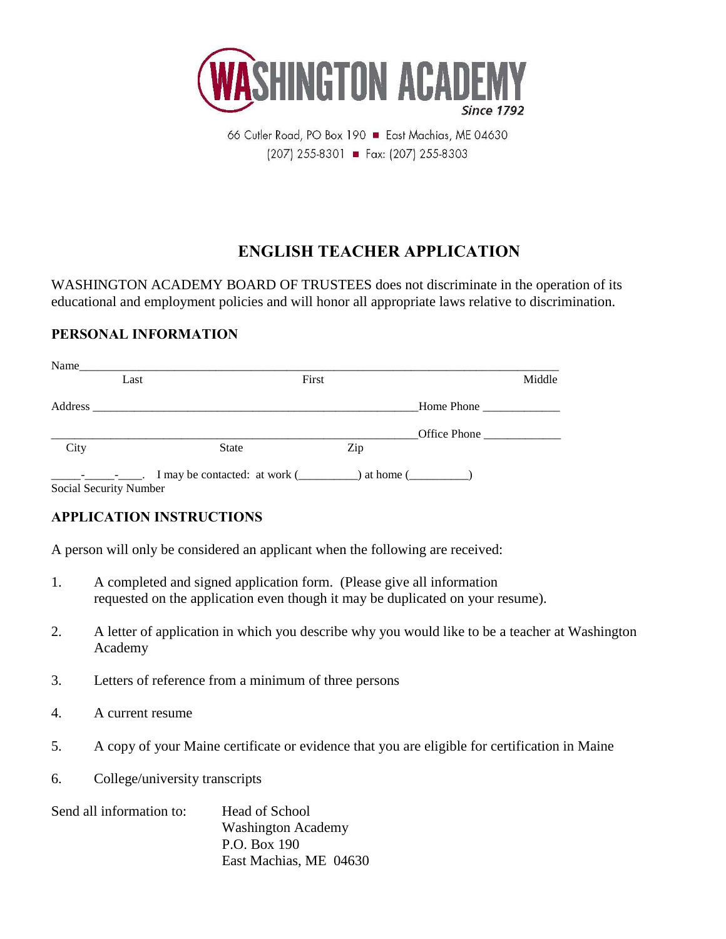

66 Cutler Road, PO Box 190 East Machias, ME 04630  $(207)$  255-8301 = Fax: (207) 255-8303

# **ENGLISH TEACHER APPLICATION**

WASHINGTON ACADEMY BOARD OF TRUSTEES does not discriminate in the operation of its educational and employment policies and will honor all appropriate laws relative to discrimination.

#### **PERSONAL INFORMATION**

| Name    |                               |                               |       |     |               |        |
|---------|-------------------------------|-------------------------------|-------|-----|---------------|--------|
|         | Last                          |                               | First |     |               | Middle |
| Address |                               |                               |       |     | Home Phone    |        |
|         |                               |                               |       |     |               |        |
| City    |                               | <b>State</b>                  |       | Zip |               |        |
|         | and the state of the state of | I may be contacted: at work ( |       |     | ) at home $($ |        |

Social Security Number

### **APPLICATION INSTRUCTIONS**

A person will only be considered an applicant when the following are received:

- 1. A completed and signed application form. (Please give all information requested on the application even though it may be duplicated on your resume).
- 2. A letter of application in which you describe why you would like to be a teacher at Washington Academy
- 3. Letters of reference from a minimum of three persons
- 4. A current resume
- 5. A copy of your Maine certificate or evidence that you are eligible for certification in Maine
- 6. College/university transcripts

| Send all information to: | <b>Head of School</b><br><b>Washington Academy</b> |  |  |
|--------------------------|----------------------------------------------------|--|--|
|                          |                                                    |  |  |
|                          | P.O. Box 190                                       |  |  |
|                          | East Machias, ME 04630                             |  |  |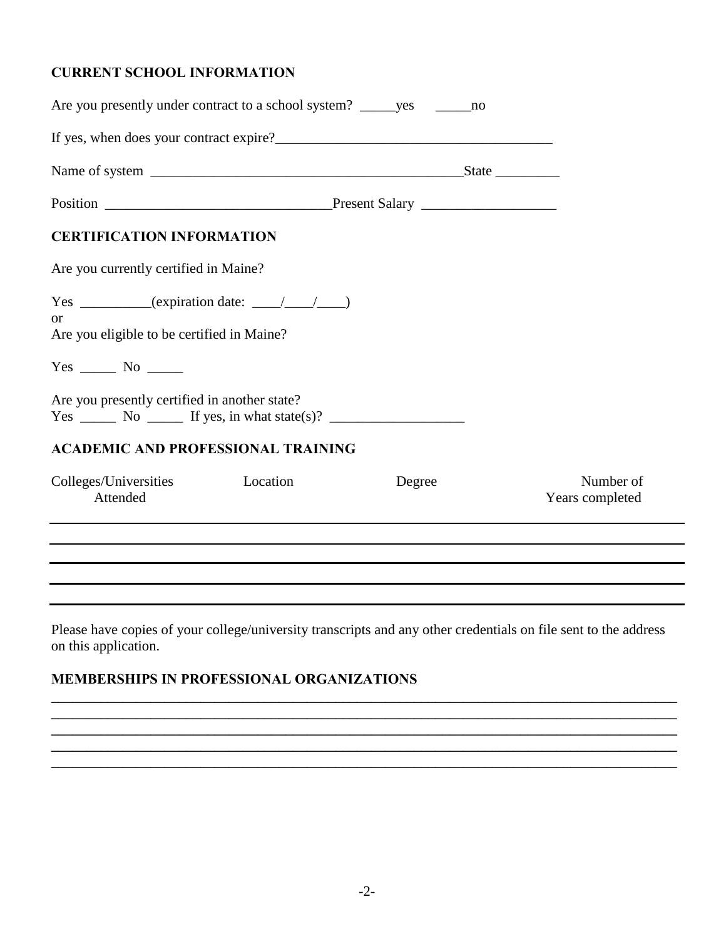#### **CURRENT SCHOOL INFORMATION**

| Are you presently under contract to a school system? _______ yes _________ no                                                                                                                                                                                                             |          |        |                              |
|-------------------------------------------------------------------------------------------------------------------------------------------------------------------------------------------------------------------------------------------------------------------------------------------|----------|--------|------------------------------|
|                                                                                                                                                                                                                                                                                           |          |        |                              |
|                                                                                                                                                                                                                                                                                           |          |        |                              |
|                                                                                                                                                                                                                                                                                           |          |        |                              |
| <b>CERTIFICATION INFORMATION</b>                                                                                                                                                                                                                                                          |          |        |                              |
| Are you currently certified in Maine?                                                                                                                                                                                                                                                     |          |        |                              |
| $Yes \_\_\_\_\_\$ (expiration date: \\ \pmathematic \end{\sigma_{\sigma_{\sigma_{\sigma_{\sigma_{\sigma_{\sigma_{\sigma_{\sigma_{\sigma_{\sigma_{\sigma_{\sigma_{\sigma_{\sigma_{\sigma_{\sigma_{\sigma_{\sigma_{\sigma_{\sigma_{\sig<br>or<br>Are you eligible to be certified in Maine? |          |        |                              |
| $Yes \_\_\_\_ No \_\_\_\_$                                                                                                                                                                                                                                                                |          |        |                              |
| Are you presently certified in another state?<br>$Yes \_\_\_\_\$ Bo $\_\_\_\_\$ If yes, in what state(s)? $\_\_\_\_\_\_\_\_\_\_\_\_\_\_\_\_\_\_\_\_\_$                                                                                                                                    |          |        |                              |
| <b>ACADEMIC AND PROFESSIONAL TRAINING</b>                                                                                                                                                                                                                                                 |          |        |                              |
| Colleges/Universities<br>Attended                                                                                                                                                                                                                                                         | Location | Degree | Number of<br>Years completed |
|                                                                                                                                                                                                                                                                                           |          |        |                              |
|                                                                                                                                                                                                                                                                                           |          |        |                              |
|                                                                                                                                                                                                                                                                                           |          |        |                              |

Please have copies of your college/university transcripts and any other credentials on file sent to the address on this application.

**\_\_\_\_\_\_\_\_\_\_\_\_\_\_\_\_\_\_\_\_\_\_\_\_\_\_\_\_\_\_\_\_\_\_\_\_\_\_\_\_\_\_\_\_\_\_\_\_\_\_\_\_\_\_\_\_\_\_\_\_\_\_\_\_\_\_\_\_\_\_\_\_\_\_\_\_\_\_\_\_\_\_\_\_\_\_\_\_**

**\_\_\_\_\_\_\_\_\_\_\_\_\_\_\_\_\_\_\_\_\_\_\_\_\_\_\_\_\_\_\_\_\_\_\_\_\_\_\_\_\_\_\_\_\_\_\_\_\_\_\_\_\_\_\_\_\_\_\_\_\_\_\_\_\_\_\_\_\_\_\_\_\_\_\_\_\_\_\_\_\_\_\_\_\_\_\_\_ \_\_\_\_\_\_\_\_\_\_\_\_\_\_\_\_\_\_\_\_\_\_\_\_\_\_\_\_\_\_\_\_\_\_\_\_\_\_\_\_\_\_\_\_\_\_\_\_\_\_\_\_\_\_\_\_\_\_\_\_\_\_\_\_\_\_\_\_\_\_\_\_\_\_\_\_\_\_\_\_\_\_\_\_\_\_\_\_**

 $\mathcal{L}_\mathcal{L} = \{ \mathcal{L}_\mathcal{L} = \{ \mathcal{L}_\mathcal{L} = \{ \mathcal{L}_\mathcal{L} = \{ \mathcal{L}_\mathcal{L} = \{ \mathcal{L}_\mathcal{L} = \{ \mathcal{L}_\mathcal{L} = \{ \mathcal{L}_\mathcal{L} = \{ \mathcal{L}_\mathcal{L} = \{ \mathcal{L}_\mathcal{L} = \{ \mathcal{L}_\mathcal{L} = \{ \mathcal{L}_\mathcal{L} = \{ \mathcal{L}_\mathcal{L} = \{ \mathcal{L}_\mathcal{L} = \{ \mathcal{L}_\mathcal{$ 

## **MEMBERSHIPS IN PROFESSIONAL ORGANIZATIONS**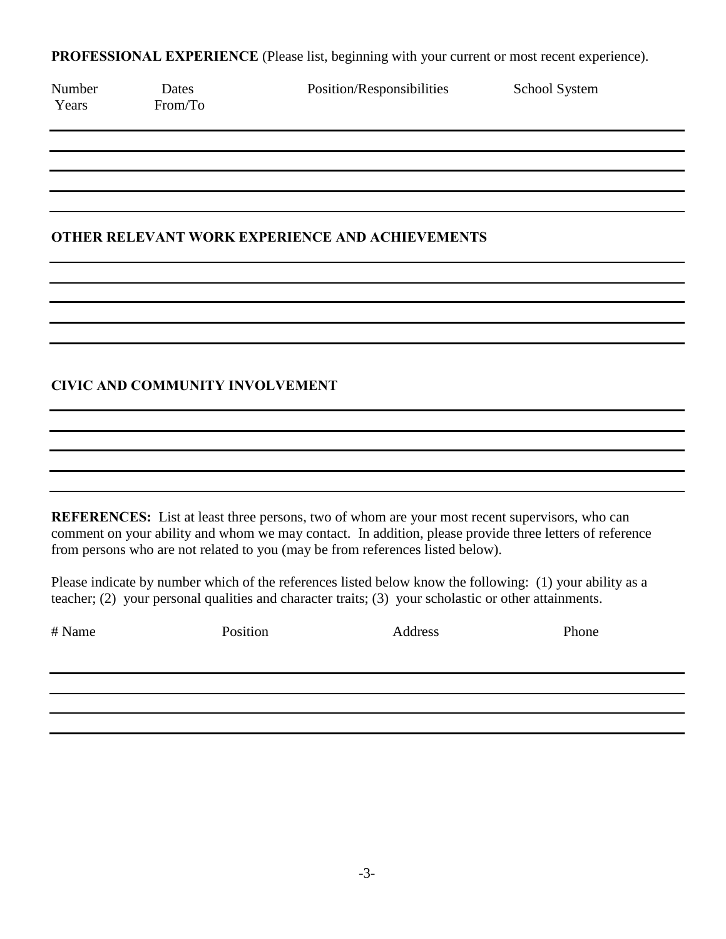**PROFESSIONAL EXPERIENCE** (Please list, beginning with your current or most recent experience).

| Number<br>Years | Dates<br>From/To                       | Position/Responsibilities                                                                                                                                                                                                                                                                   | School System |
|-----------------|----------------------------------------|---------------------------------------------------------------------------------------------------------------------------------------------------------------------------------------------------------------------------------------------------------------------------------------------|---------------|
|                 |                                        |                                                                                                                                                                                                                                                                                             |               |
|                 |                                        |                                                                                                                                                                                                                                                                                             |               |
|                 |                                        | <b>OTHER RELEVANT WORK EXPERIENCE AND ACHIEVEMENTS</b>                                                                                                                                                                                                                                      |               |
|                 |                                        |                                                                                                                                                                                                                                                                                             |               |
|                 |                                        |                                                                                                                                                                                                                                                                                             |               |
|                 |                                        |                                                                                                                                                                                                                                                                                             |               |
|                 | <b>CIVIC AND COMMUNITY INVOLVEMENT</b> |                                                                                                                                                                                                                                                                                             |               |
|                 |                                        |                                                                                                                                                                                                                                                                                             |               |
|                 |                                        |                                                                                                                                                                                                                                                                                             |               |
|                 |                                        |                                                                                                                                                                                                                                                                                             |               |
|                 |                                        | REFERENCES: List at least three persons, two of whom are your most recent supervisors, who can<br>comment on your ability and whom we may contact. In addition, please provide three letters of reference<br>from persons who are not related to you (may be from references listed below). |               |
|                 |                                        | Please indicate by number which of the references listed below know the following: (1) your ability as a<br>teacher; (2) your personal qualities and character traits; (3) your scholastic or other attainments.                                                                            |               |
| # Name          | Position                               | Address                                                                                                                                                                                                                                                                                     | Phone         |
|                 |                                        |                                                                                                                                                                                                                                                                                             |               |
|                 |                                        |                                                                                                                                                                                                                                                                                             |               |